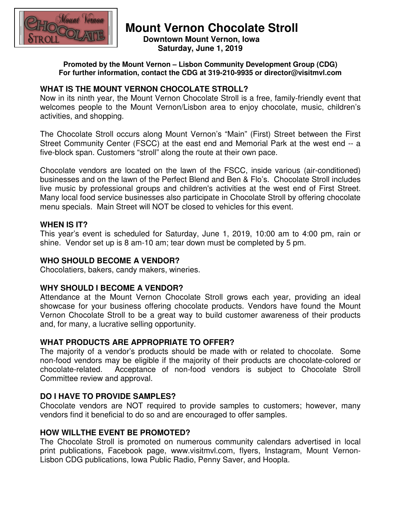

# **Mount Vernon Chocolate Stroll**

 **Downtown Mount Vernon, Iowa Saturday, June 1, 2019** 

**Promoted by the Mount Vernon – Lisbon Community Development Group (CDG) For further information, contact the CDG at 319-210-9935 or director@visitmvl.com** 

# **WHAT IS THE MOUNT VERNON CHOCOLATE STROLL?**

Now in its ninth year, the Mount Vernon Chocolate Stroll is a free, family-friendly event that welcomes people to the Mount Vernon/Lisbon area to enjoy chocolate, music, children's activities, and shopping.

The Chocolate Stroll occurs along Mount Vernon's "Main" (First) Street between the First Street Community Center (FSCC) at the east end and Memorial Park at the west end -- a five-block span. Customers "stroll" along the route at their own pace.

Chocolate vendors are located on the lawn of the FSCC, inside various (air-conditioned) businesses and on the lawn of the Perfect Blend and Ben & Flo's. Chocolate Stroll includes live music by professional groups and children's activities at the west end of First Street. Many local food service businesses also participate in Chocolate Stroll by offering chocolate menu specials. Main Street will NOT be closed to vehicles for this event.

## **WHEN IS IT?**

This year's event is scheduled for Saturday, June 1, 2019, 10:00 am to 4:00 pm, rain or shine. Vendor set up is 8 am-10 am; tear down must be completed by 5 pm.

## **WHO SHOULD BECOME A VENDOR?**

Chocolatiers, bakers, candy makers, wineries.

## **WHY SHOULD I BECOME A VENDOR?**

Attendance at the Mount Vernon Chocolate Stroll grows each year, providing an ideal showcase for your business offering chocolate products. Vendors have found the Mount Vernon Chocolate Stroll to be a great way to build customer awareness of their products and, for many, a lucrative selling opportunity.

# **WHAT PRODUCTS ARE APPROPRIATE TO OFFER?**

The majority of a vendor's products should be made with or related to chocolate. Some non-food vendors may be eligible if the majority of their products are chocolate-colored or chocolate-related. Acceptance of non-food vendors is subject to Chocolate Stroll Committee review and approval.

# **DO I HAVE TO PROVIDE SAMPLES?**

Chocolate vendors are NOT required to provide samples to customers; however, many vendors find it beneficial to do so and are encouraged to offer samples.

## **HOW WILLTHE EVENT BE PROMOTED?**

The Chocolate Stroll is promoted on numerous community calendars advertised in local print publications, Facebook page, www.visitmvl.com, flyers, Instagram, Mount Vernon-Lisbon CDG publications, Iowa Public Radio, Penny Saver, and Hoopla.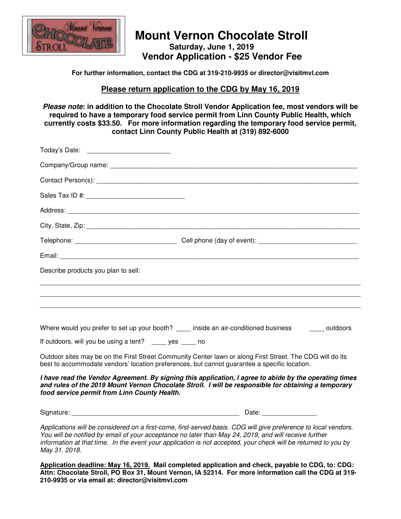

# **Mount Vernon Chocolate Stroll Saturday, June 1, 2019 Vendor Application - \$25 Vendor Fee**

#### **For further information, contact the CDG at 319-210-9935 or director@visitmvl.com**

#### **Please return application to the CDG by May 16, 2019**

**Please note: in addition to the Chocolate Stroll Vendor Application fee, most vendors will be required to have a temporary food service permit from Linn County Public Health, which currently costs \$33.50. For more information regarding the temporary food service permit, contact Linn County Public Health at (319) 892-6000**

| Today's Date: _____________________________                                                                                                                                                               |                                                                                                                                                                                                                |
|-----------------------------------------------------------------------------------------------------------------------------------------------------------------------------------------------------------|----------------------------------------------------------------------------------------------------------------------------------------------------------------------------------------------------------------|
|                                                                                                                                                                                                           |                                                                                                                                                                                                                |
|                                                                                                                                                                                                           |                                                                                                                                                                                                                |
|                                                                                                                                                                                                           |                                                                                                                                                                                                                |
|                                                                                                                                                                                                           |                                                                                                                                                                                                                |
|                                                                                                                                                                                                           |                                                                                                                                                                                                                |
|                                                                                                                                                                                                           |                                                                                                                                                                                                                |
|                                                                                                                                                                                                           |                                                                                                                                                                                                                |
| Describe products you plan to sell:                                                                                                                                                                       |                                                                                                                                                                                                                |
|                                                                                                                                                                                                           |                                                                                                                                                                                                                |
|                                                                                                                                                                                                           | Where would you prefer to set up your booth? _____ inside an air-conditioned business _______ outdoors                                                                                                         |
| If outdoors, will you be using a tent? _____ yes ____ no                                                                                                                                                  |                                                                                                                                                                                                                |
| Outdoor sites may be on the First Street Community Center lawn or along First Street. The CDG will do its<br>best to accommodate vendors' location preferences, but cannot guarantee a specific location. |                                                                                                                                                                                                                |
| food service permit from Linn County Health.                                                                                                                                                              | I have read the Vendor Agreement. By signing this application, I agree to abide by the operating times<br>and rules of the 2019 Mount Vernon Chocolate Stroll. I will be responsible for obtaining a temporary |
|                                                                                                                                                                                                           |                                                                                                                                                                                                                |

Applications will be considered on a first-come, first-served basis. CDG will give preference to local vendors. You will be notified by email of your acceptance no later than May 24, 2019, and will receive further information at that time. In the event your application is not accepted, your check will be returned to you by May 31, 2018.

**Application deadline: May 16, 2019. Mail completed application and check, payable to CDG, to: CDG: Attn: Chocolate Stroll, PO Box 31, Mount Vernon, IA 52314. For more information call the CDG at 319- 210-9935 or via email at: director@visitmvl.com**